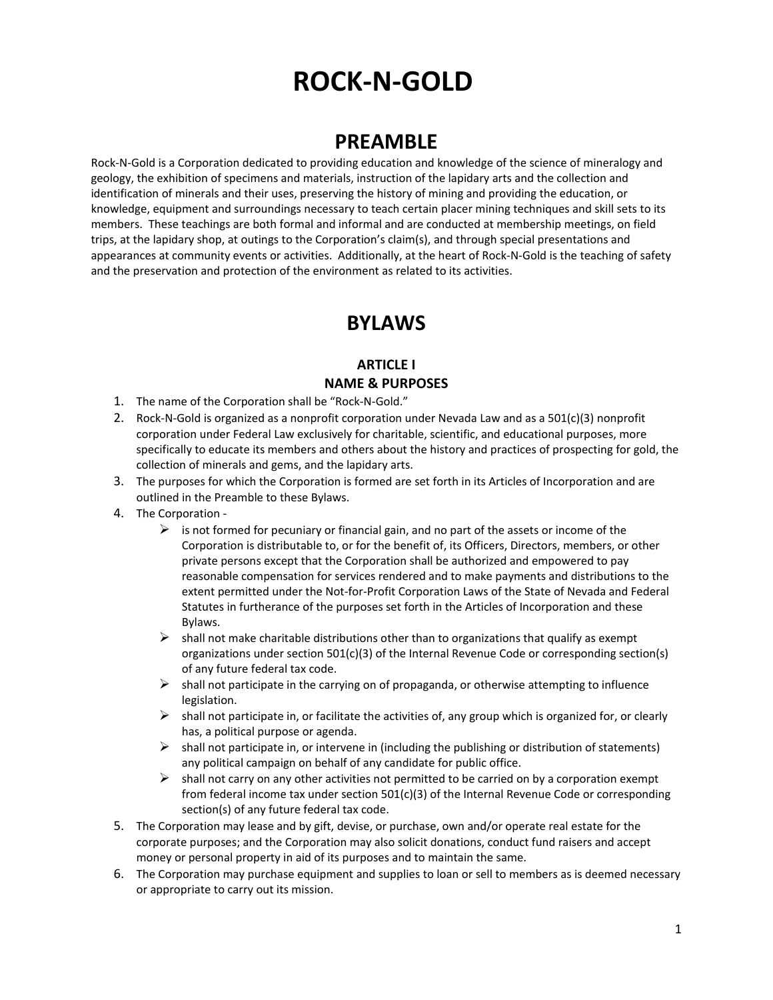# **ROCK-N-GOLD**

# **PREAMBLE**

Rock-N-Gold is a Corporation dedicated to providing education and knowledge of the science of mineralogy and geology, the exhibition of specimens and materials, instruction of the lapidary arts and the collection and identification of minerals and their uses, preserving the history of mining and providing the education, or knowledge, equipment and surroundings necessary to teach certain placer mining techniques and skill sets to its members. These teachings are both formal and informal and are conducted at membership meetings, on field trips, at the lapidary shop, at outings to the Corporation's claim(s), and through special presentations and appearances at community events or activities. Additionally, at the heart of Rock-N-Gold is the teaching of safety and the preservation and protection of the environment as related to its activities.

# **BYLAWS**

#### **ARTICLE I NAME & PURPOSES**

- 1. The name of the Corporation shall be "Rock-N-Gold."
- 2. Rock-N-Gold is organized as a nonprofit corporation under Nevada Law and as a 501(c)(3) nonprofit corporation under Federal Law exclusively for charitable, scientific, and educational purposes, more specifically to educate its members and others about the history and practices of prospecting for gold, the collection of minerals and gems, and the lapidary arts.
- 3. The purposes for which the Corporation is formed are set forth in its Articles of Incorporation and are outlined in the Preamble to these Bylaws.
- 4. The Corporation
	- $\triangleright$  is not formed for pecuniary or financial gain, and no part of the assets or income of the Corporation is distributable to, or for the benefit of, its Officers, Directors, members, or other private persons except that the Corporation shall be authorized and empowered to pay reasonable compensation for services rendered and to make payments and distributions to the extent permitted under the Not-for-Profit Corporation Laws of the State of Nevada and Federal Statutes in furtherance of the purposes set forth in the Articles of Incorporation and these Bylaws.
	- $\triangleright$  shall not make charitable distributions other than to organizations that qualify as exempt organizations under section 501(c)(3) of the Internal Revenue Code or corresponding section(s) of any future federal tax code.
	- $\triangleright$  shall not participate in the carrying on of propaganda, or otherwise attempting to influence legislation.
	- $\triangleright$  shall not participate in, or facilitate the activities of, any group which is organized for, or clearly has, a political purpose or agenda.
	- $\triangleright$  shall not participate in, or intervene in (including the publishing or distribution of statements) any political campaign on behalf of any candidate for public office.
	- $\triangleright$  shall not carry on any other activities not permitted to be carried on by a corporation exempt from federal income tax under section 501(c)(3) of the Internal Revenue Code or corresponding section(s) of any future federal tax code.
- 5. The Corporation may lease and by gift, devise, or purchase, own and/or operate real estate for the corporate purposes; and the Corporation may also solicit donations, conduct fund raisers and accept money or personal property in aid of its purposes and to maintain the same.
- 6. The Corporation may purchase equipment and supplies to loan or sell to members as is deemed necessary or appropriate to carry out its mission.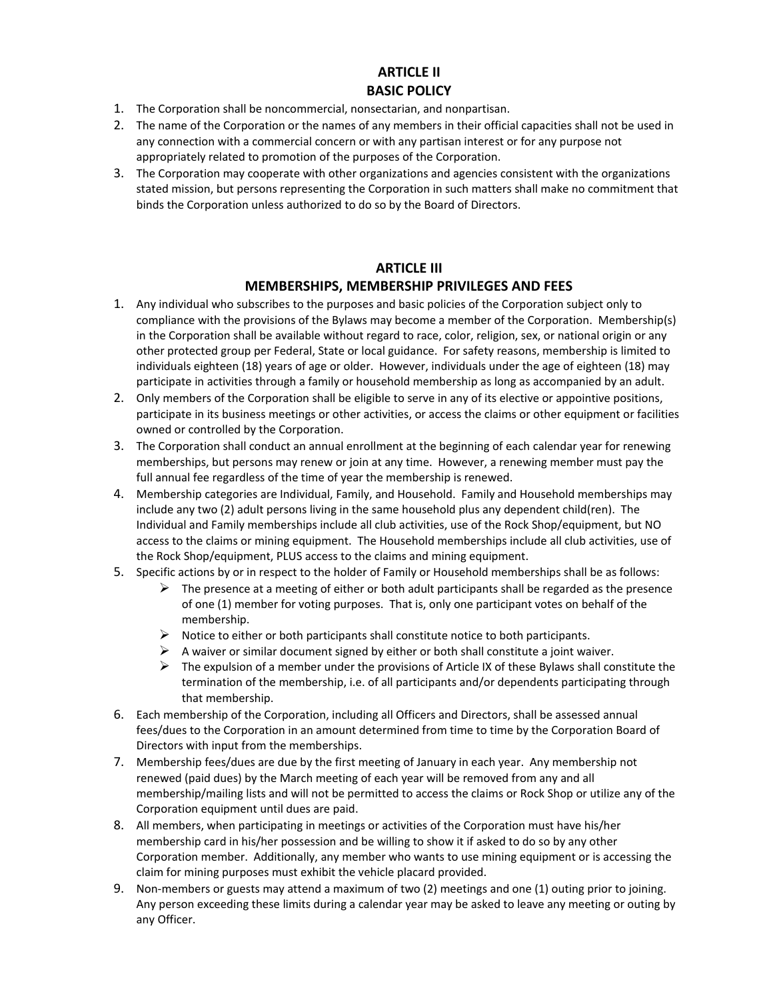#### **ARTICLE II BASIC POLICY**

- 1. The Corporation shall be noncommercial, nonsectarian, and nonpartisan.
- 2. The name of the Corporation or the names of any members in their official capacities shall not be used in any connection with a commercial concern or with any partisan interest or for any purpose not appropriately related to promotion of the purposes of the Corporation.
- 3. The Corporation may cooperate with other organizations and agencies consistent with the organizations stated mission, but persons representing the Corporation in such matters shall make no commitment that binds the Corporation unless authorized to do so by the Board of Directors.

#### **ARTICLE III MEMBERSHIPS, MEMBERSHIP PRIVILEGES AND FEES**

- 1. Any individual who subscribes to the purposes and basic policies of the Corporation subject only to compliance with the provisions of the Bylaws may become a member of the Corporation. Membership(s) in the Corporation shall be available without regard to race, color, religion, sex, or national origin or any other protected group per Federal, State or local guidance. For safety reasons, membership is limited to individuals eighteen (18) years of age or older. However, individuals under the age of eighteen (18) may participate in activities through a family or household membership as long as accompanied by an adult.
- 2. Only members of the Corporation shall be eligible to serve in any of its elective or appointive positions, participate in its business meetings or other activities, or access the claims or other equipment or facilities owned or controlled by the Corporation.
- 3. The Corporation shall conduct an annual enrollment at the beginning of each calendar year for renewing memberships, but persons may renew or join at any time. However, a renewing member must pay the full annual fee regardless of the time of year the membership is renewed.
- 4. Membership categories are Individual, Family, and Household. Family and Household memberships may include any two (2) adult persons living in the same household plus any dependent child(ren). The Individual and Family memberships include all club activities, use of the Rock Shop/equipment, but NO access to the claims or mining equipment. The Household memberships include all club activities, use of the Rock Shop/equipment, PLUS access to the claims and mining equipment.
- 5. Specific actions by or in respect to the holder of Family or Household memberships shall be as follows:
	- $\triangleright$  The presence at a meeting of either or both adult participants shall be regarded as the presence of one (1) member for voting purposes. That is, only one participant votes on behalf of the membership.
	- $\triangleright$  Notice to either or both participants shall constitute notice to both participants.
	- $\triangleright$  A waiver or similar document signed by either or both shall constitute a joint waiver.
	- $\triangleright$  The expulsion of a member under the provisions of Article IX of these Bylaws shall constitute the termination of the membership, i.e. of all participants and/or dependents participating through that membership.
- 6. Each membership of the Corporation, including all Officers and Directors, shall be assessed annual fees/dues to the Corporation in an amount determined from time to time by the Corporation Board of Directors with input from the memberships.
- 7. Membership fees/dues are due by the first meeting of January in each year. Any membership not renewed (paid dues) by the March meeting of each year will be removed from any and all membership/mailing lists and will not be permitted to access the claims or Rock Shop or utilize any of the Corporation equipment until dues are paid.
- 8. All members, when participating in meetings or activities of the Corporation must have his/her membership card in his/her possession and be willing to show it if asked to do so by any other Corporation member. Additionally, any member who wants to use mining equipment or is accessing the claim for mining purposes must exhibit the vehicle placard provided.
- 9. Non-members or guests may attend a maximum of two (2) meetings and one (1) outing prior to joining. Any person exceeding these limits during a calendar year may be asked to leave any meeting or outing by any Officer.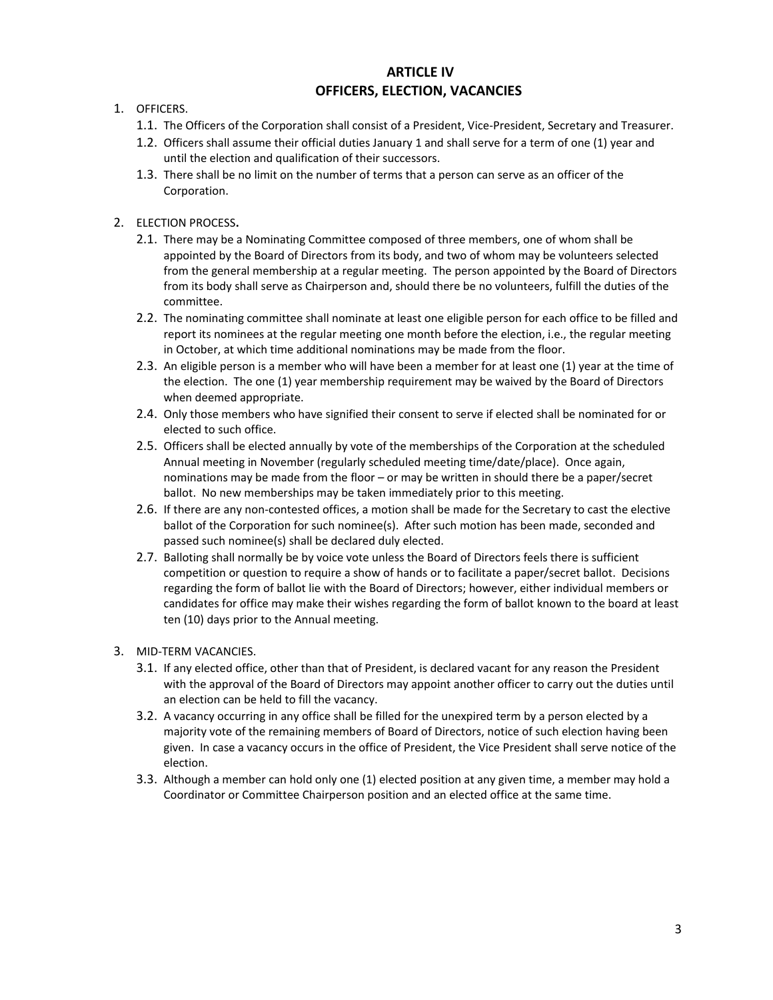### **ARTICLE IV OFFICERS, ELECTION, VACANCIES**

- 1. OFFICERS.
	- 1.1. The Officers of the Corporation shall consist of a President, Vice-President, Secretary and Treasurer.
	- 1.2. Officers shall assume their official duties January 1 and shall serve for a term of one (1) year and until the election and qualification of their successors.
	- 1.3. There shall be no limit on the number of terms that a person can serve as an officer of the Corporation.
- 2. ELECTION PROCESS**.**
	- 2.1. There may be a Nominating Committee composed of three members, one of whom shall be appointed by the Board of Directors from its body, and two of whom may be volunteers selected from the general membership at a regular meeting. The person appointed by the Board of Directors from its body shall serve as Chairperson and, should there be no volunteers, fulfill the duties of the committee.
	- 2.2. The nominating committee shall nominate at least one eligible person for each office to be filled and report its nominees at the regular meeting one month before the election, i.e., the regular meeting in October, at which time additional nominations may be made from the floor.
	- 2.3. An eligible person is a member who will have been a member for at least one (1) year at the time of the election. The one (1) year membership requirement may be waived by the Board of Directors when deemed appropriate.
	- 2.4. Only those members who have signified their consent to serve if elected shall be nominated for or elected to such office.
	- 2.5. Officers shall be elected annually by vote of the memberships of the Corporation at the scheduled Annual meeting in November (regularly scheduled meeting time/date/place). Once again, nominations may be made from the floor – or may be written in should there be a paper/secret ballot. No new memberships may be taken immediately prior to this meeting.
	- 2.6. If there are any non-contested offices, a motion shall be made for the Secretary to cast the elective ballot of the Corporation for such nominee(s). After such motion has been made, seconded and passed such nominee(s) shall be declared duly elected.
	- 2.7. Balloting shall normally be by voice vote unless the Board of Directors feels there is sufficient competition or question to require a show of hands or to facilitate a paper/secret ballot. Decisions regarding the form of ballot lie with the Board of Directors; however, either individual members or candidates for office may make their wishes regarding the form of ballot known to the board at least ten (10) days prior to the Annual meeting.
- 3. MID-TERM VACANCIES.
	- 3.1. If any elected office, other than that of President, is declared vacant for any reason the President with the approval of the Board of Directors may appoint another officer to carry out the duties until an election can be held to fill the vacancy.
	- 3.2. A vacancy occurring in any office shall be filled for the unexpired term by a person elected by a majority vote of the remaining members of Board of Directors, notice of such election having been given. In case a vacancy occurs in the office of President, the Vice President shall serve notice of the election.
	- 3.3. Although a member can hold only one (1) elected position at any given time, a member may hold a Coordinator or Committee Chairperson position and an elected office at the same time.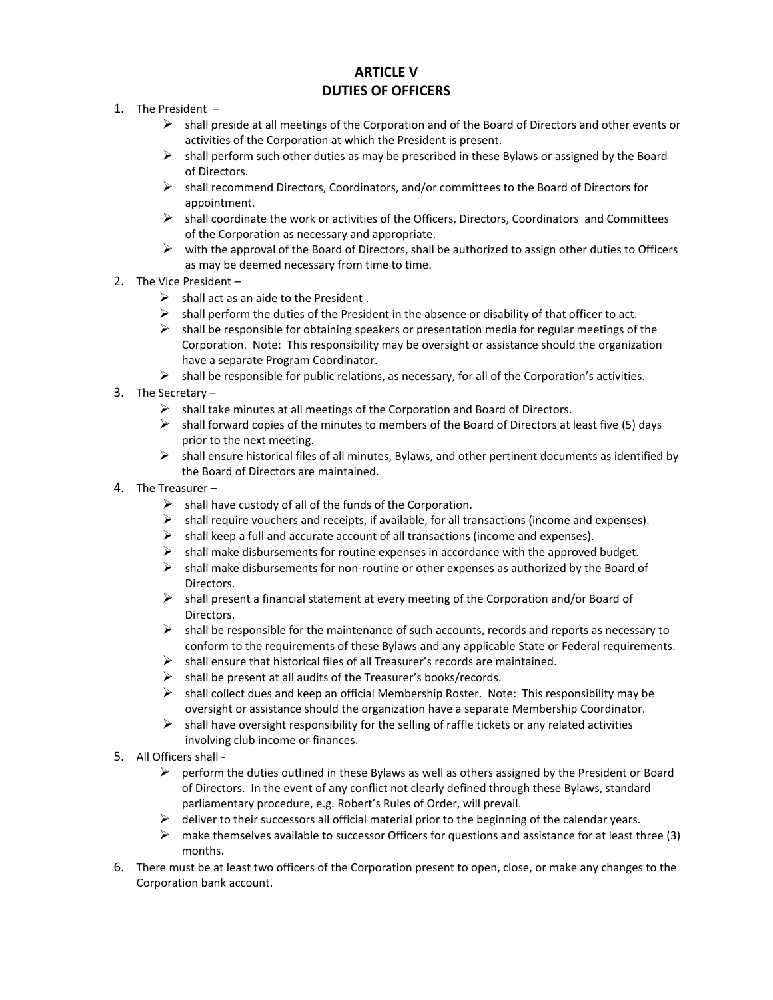# **ARTICLE V DUTIES OF OFFICERS**

- 1. The President
	- $\triangleright$  shall preside at all meetings of the Corporation and of the Board of Directors and other events or activities of the Corporation at which the President is present.
	- $\triangleright$  shall perform such other duties as may be prescribed in these Bylaws or assigned by the Board of Directors.
	- $\triangleright$  shall recommend Directors, Coordinators, and/or committees to the Board of Directors for appointment.
	- $\triangleright$  shall coordinate the work or activities of the Officers, Directors, Coordinators and Committees of the Corporation as necessary and appropriate.
	- $\triangleright$  with the approval of the Board of Directors, shall be authorized to assign other duties to Officers as may be deemed necessary from time to time.
- 2. The Vice President
	- $\triangleright$  shall act as an aide to the President.
	- $\triangleright$  shall perform the duties of the President in the absence or disability of that officer to act.
	- $\triangleright$  shall be responsible for obtaining speakers or presentation media for regular meetings of the Corporation. Note: This responsibility may be oversight or assistance should the organization have a separate Program Coordinator.
	- $\triangleright$  shall be responsible for public relations, as necessary, for all of the Corporation's activities.
- 3. The Secretary
	- $\triangleright$  shall take minutes at all meetings of the Corporation and Board of Directors.
	- $\triangleright$  shall forward copies of the minutes to members of the Board of Directors at least five (5) days prior to the next meeting.
	- $\triangleright$  shall ensure historical files of all minutes, Bylaws, and other pertinent documents as identified by the Board of Directors are maintained.
- 4. The Treasurer
	- $\triangleright$  shall have custody of all of the funds of the Corporation.
	- shall require vouchers and receipts, if available, for all transactions (income and expenses).
	- $\triangleright$  shall keep a full and accurate account of all transactions (income and expenses).
	- $\triangleright$  shall make disbursements for routine expenses in accordance with the approved budget.
	- $\triangleright$  shall make disbursements for non-routine or other expenses as authorized by the Board of Directors.
	- $\triangleright$  shall present a financial statement at every meeting of the Corporation and/or Board of **Directors**
	- $\triangleright$  shall be responsible for the maintenance of such accounts, records and reports as necessary to conform to the requirements of these Bylaws and any applicable State or Federal requirements.
	- $\triangleright$  shall ensure that historical files of all Treasurer's records are maintained.
	- $\triangleright$  shall be present at all audits of the Treasurer's books/records.
	- $\triangleright$  shall collect dues and keep an official Membership Roster. Note: This responsibility may be oversight or assistance should the organization have a separate Membership Coordinator.
	- $\triangleright$  shall have oversight responsibility for the selling of raffle tickets or any related activities involving club income or finances.
- 5. All Officers shall
	- $\triangleright$  perform the duties outlined in these Bylaws as well as others assigned by the President or Board of Directors. In the event of any conflict not clearly defined through these Bylaws, standard parliamentary procedure, e.g. Robert's Rules of Order, will prevail.
	- deliver to their successors all official material prior to the beginning of the calendar years.
	- $\triangleright$  make themselves available to successor Officers for questions and assistance for at least three (3) months.
- 6. There must be at least two officers of the Corporation present to open, close, or make any changes to the Corporation bank account.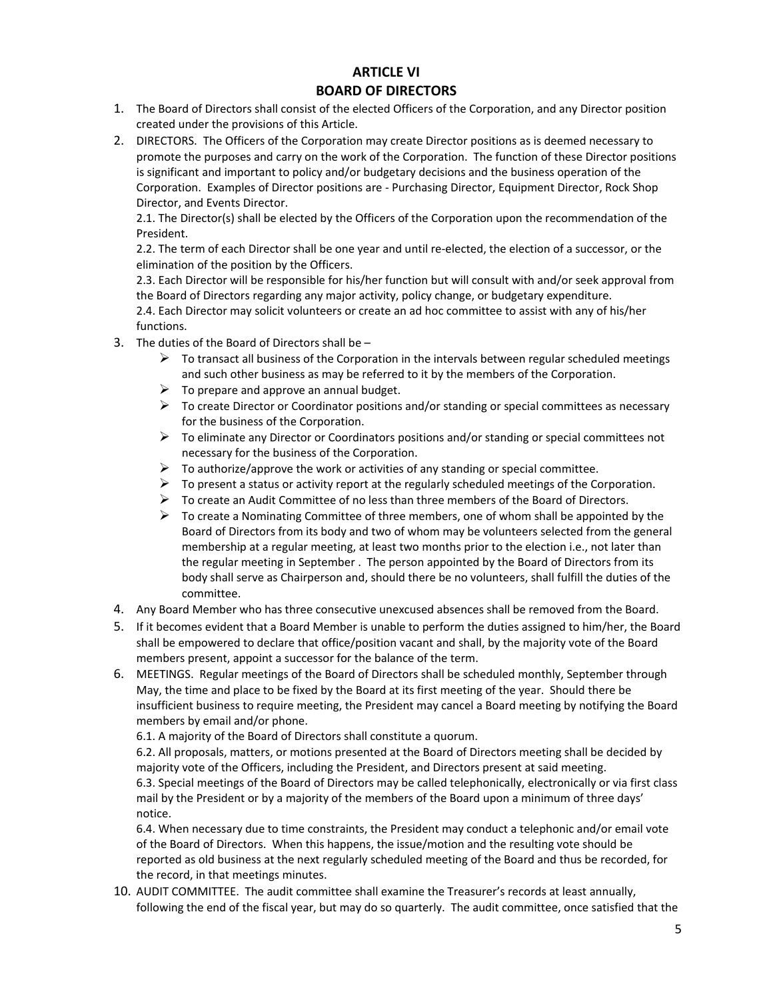### **ARTICLE VI BOARD OF DIRECTORS**

- 1. The Board of Directors shall consist of the elected Officers of the Corporation, and any Director position created under the provisions of this Article.
- 2. DIRECTORS.The Officers of the Corporation may create Director positions as is deemed necessary to promote the purposes and carry on the work of the Corporation. The function of these Director positions is significant and important to policy and/or budgetary decisions and the business operation of the Corporation. Examples of Director positions are - Purchasing Director, Equipment Director, Rock Shop Director, and Events Director.

2.1. The Director(s) shall be elected by the Officers of the Corporation upon the recommendation of the President.

2.2. The term of each Director shall be one year and until re-elected, the election of a successor, or the elimination of the position by the Officers.

2.3. Each Director will be responsible for his/her function but will consult with and/or seek approval from the Board of Directors regarding any major activity, policy change, or budgetary expenditure.

2.4. Each Director may solicit volunteers or create an ad hoc committee to assist with any of his/her functions.

- 3. The duties of the Board of Directors shall be
	- $\triangleright$  To transact all business of the Corporation in the intervals between regular scheduled meetings and such other business as may be referred to it by the members of the Corporation.
	- $\triangleright$  To prepare and approve an annual budget.
	- $\triangleright$  To create Director or Coordinator positions and/or standing or special committees as necessary for the business of the Corporation.
	- $\triangleright$  To eliminate any Director or Coordinators positions and/or standing or special committees not necessary for the business of the Corporation.
	- $\triangleright$  To authorize/approve the work or activities of any standing or special committee.
	- $\triangleright$  To present a status or activity report at the regularly scheduled meetings of the Corporation.
	- $\triangleright$  To create an Audit Committee of no less than three members of the Board of Directors.
	- $\triangleright$  To create a Nominating Committee of three members, one of whom shall be appointed by the Board of Directors from its body and two of whom may be volunteers selected from the general membership at a regular meeting, at least two months prior to the election i.e., not later than the regular meeting in September . The person appointed by the Board of Directors from its body shall serve as Chairperson and, should there be no volunteers, shall fulfill the duties of the committee.
- 4. Any Board Member who has three consecutive unexcused absences shall be removed from the Board.
- 5. If it becomes evident that a Board Member is unable to perform the duties assigned to him/her, the Board shall be empowered to declare that office/position vacant and shall, by the majority vote of the Board members present, appoint a successor for the balance of the term.
- 6. MEETINGS. Regular meetings of the Board of Directors shall be scheduled monthly, September through May, the time and place to be fixed by the Board at its first meeting of the year. Should there be insufficient business to require meeting, the President may cancel a Board meeting by notifying the Board members by email and/or phone.

6.1. A majority of the Board of Directors shall constitute a quorum.

6.2. All proposals, matters, or motions presented at the Board of Directors meeting shall be decided by majority vote of the Officers, including the President, and Directors present at said meeting. 6.3. Special meetings of the Board of Directors may be called telephonically, electronically or via first class mail by the President or by a majority of the members of the Board upon a minimum of three days' notice.

6.4. When necessary due to time constraints, the President may conduct a telephonic and/or email vote of the Board of Directors. When this happens, the issue/motion and the resulting vote should be reported as old business at the next regularly scheduled meeting of the Board and thus be recorded, for the record, in that meetings minutes.

10. AUDIT COMMITTEE. The audit committee shall examine the Treasurer's records at least annually, following the end of the fiscal year, but may do so quarterly. The audit committee, once satisfied that the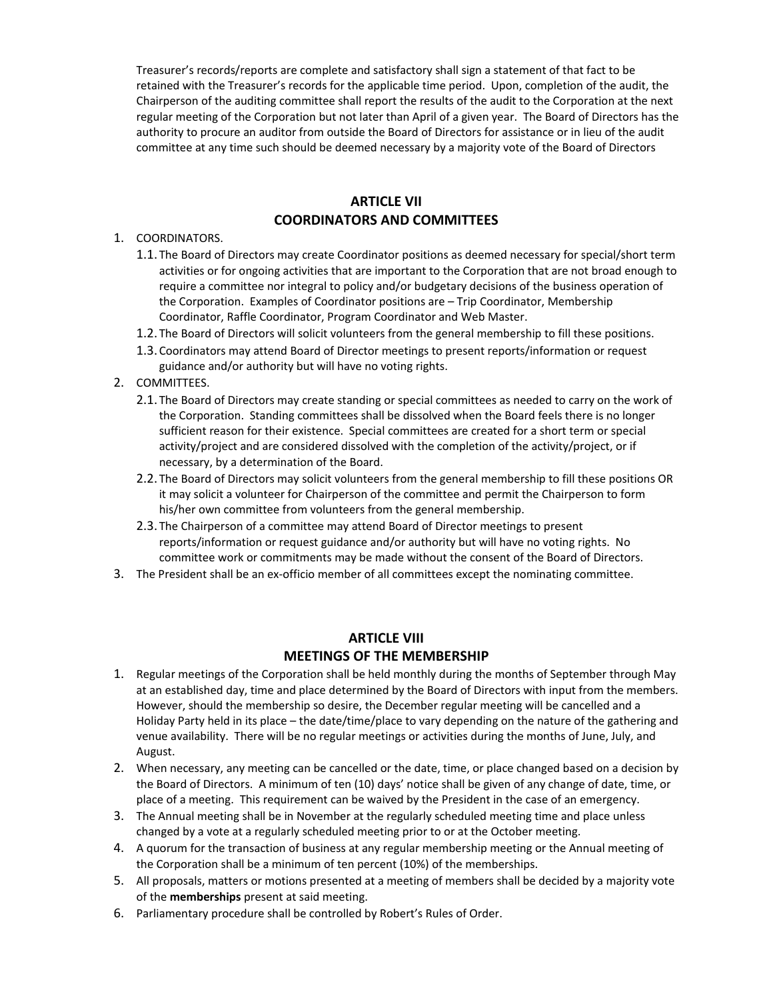Treasurer's records/reports are complete and satisfactory shall sign a statement of that fact to be retained with the Treasurer's records for the applicable time period. Upon, completion of the audit, the Chairperson of the auditing committee shall report the results of the audit to the Corporation at the next regular meeting of the Corporation but not later than April of a given year. The Board of Directors has the authority to procure an auditor from outside the Board of Directors for assistance or in lieu of the audit committee at any time such should be deemed necessary by a majority vote of the Board of Directors

#### **ARTICLE VII COORDINATORS AND COMMITTEES**

#### 1. COORDINATORS.

- 1.1. The Board of Directors may create Coordinator positions as deemed necessary for special/short term activities or for ongoing activities that are important to the Corporation that are not broad enough to require a committee nor integral to policy and/or budgetary decisions of the business operation of the Corporation. Examples of Coordinator positions are – Trip Coordinator, Membership Coordinator, Raffle Coordinator, Program Coordinator and Web Master.
- 1.2. The Board of Directors will solicit volunteers from the general membership to fill these positions.
- 1.3. Coordinators may attend Board of Director meetings to present reports/information or request guidance and/or authority but will have no voting rights.

#### 2. COMMITTEES.

- 2.1. The Board of Directors may create standing or special committees as needed to carry on the work of the Corporation. Standing committees shall be dissolved when the Board feels there is no longer sufficient reason for their existence. Special committees are created for a short term or special activity/project and are considered dissolved with the completion of the activity/project, or if necessary, by a determination of the Board.
- 2.2. The Board of Directors may solicit volunteers from the general membership to fill these positions OR it may solicit a volunteer for Chairperson of the committee and permit the Chairperson to form his/her own committee from volunteers from the general membership.
- 2.3. The Chairperson of a committee may attend Board of Director meetings to present reports/information or request guidance and/or authority but will have no voting rights. No committee work or commitments may be made without the consent of the Board of Directors.
- 3. The President shall be an ex-officio member of all committees except the nominating committee.

#### **ARTICLE VIII MEETINGS OF THE MEMBERSHIP**

- 1. Regular meetings of the Corporation shall be held monthly during the months of September through May at an established day, time and place determined by the Board of Directors with input from the members. However, should the membership so desire, the December regular meeting will be cancelled and a Holiday Party held in its place – the date/time/place to vary depending on the nature of the gathering and venue availability. There will be no regular meetings or activities during the months of June, July, and August.
- 2. When necessary, any meeting can be cancelled or the date, time, or place changed based on a decision by the Board of Directors. A minimum of ten (10) days' notice shall be given of any change of date, time, or place of a meeting. This requirement can be waived by the President in the case of an emergency.
- 3. The Annual meeting shall be in November at the regularly scheduled meeting time and place unless changed by a vote at a regularly scheduled meeting prior to or at the October meeting.
- 4. A quorum for the transaction of business at any regular membership meeting or the Annual meeting of the Corporation shall be a minimum of ten percent (10%) of the memberships.
- 5. All proposals, matters or motions presented at a meeting of members shall be decided by a majority vote of the **memberships** present at said meeting.
- 6. Parliamentary procedure shall be controlled by Robert's Rules of Order.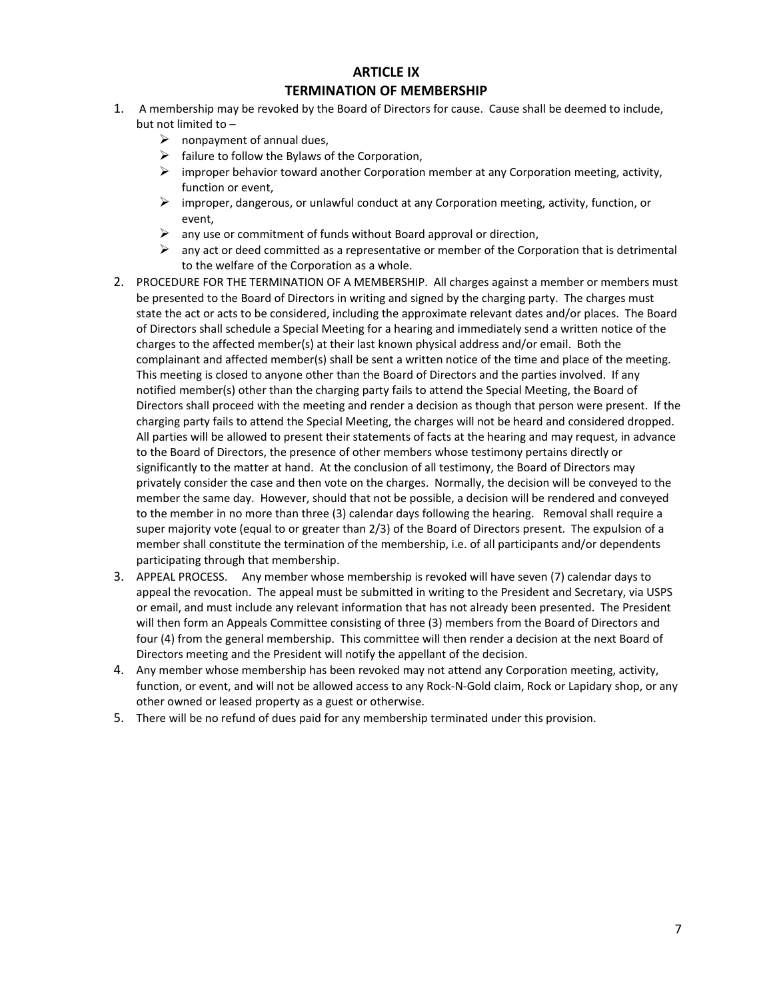# **ARTICLE IX TERMINATION OF MEMBERSHIP**

- 1. A membership may be revoked by the Board of Directors for cause. Cause shall be deemed to include, but not limited to –
	- $\triangleright$  nonpayment of annual dues,
	- $\triangleright$  failure to follow the Bylaws of the Corporation,
	- $\triangleright$  improper behavior toward another Corporation member at any Corporation meeting, activity, function or event,
	- $\triangleright$  improper, dangerous, or unlawful conduct at any Corporation meeting, activity, function, or event,
	- $\triangleright$  any use or commitment of funds without Board approval or direction,
	- $\triangleright$  any act or deed committed as a representative or member of the Corporation that is detrimental to the welfare of the Corporation as a whole.
- 2. PROCEDURE FOR THE TERMINATION OF A MEMBERSHIP. All charges against a member or members must be presented to the Board of Directors in writing and signed by the charging party. The charges must state the act or acts to be considered, including the approximate relevant dates and/or places. The Board of Directors shall schedule a Special Meeting for a hearing and immediately send a written notice of the charges to the affected member(s) at their last known physical address and/or email. Both the complainant and affected member(s) shall be sent a written notice of the time and place of the meeting. This meeting is closed to anyone other than the Board of Directors and the parties involved. If any notified member(s) other than the charging party fails to attend the Special Meeting, the Board of Directors shall proceed with the meeting and render a decision as though that person were present. If the charging party fails to attend the Special Meeting, the charges will not be heard and considered dropped. All parties will be allowed to present their statements of facts at the hearing and may request, in advance to the Board of Directors, the presence of other members whose testimony pertains directly or significantly to the matter at hand. At the conclusion of all testimony, the Board of Directors may privately consider the case and then vote on the charges. Normally, the decision will be conveyed to the member the same day. However, should that not be possible, a decision will be rendered and conveyed to the member in no more than three (3) calendar days following the hearing. Removal shall require a super majority vote (equal to or greater than 2/3) of the Board of Directors present. The expulsion of a member shall constitute the termination of the membership, i.e. of all participants and/or dependents participating through that membership.
- 3. APPEAL PROCESS. Any member whose membership is revoked will have seven (7) calendar days to appeal the revocation. The appeal must be submitted in writing to the President and Secretary, via USPS or email, and must include any relevant information that has not already been presented. The President will then form an Appeals Committee consisting of three (3) members from the Board of Directors and four (4) from the general membership. This committee will then render a decision at the next Board of Directors meeting and the President will notify the appellant of the decision.
- 4. Any member whose membership has been revoked may not attend any Corporation meeting, activity, function, or event, and will not be allowed access to any Rock-N-Gold claim, Rock or Lapidary shop, or any other owned or leased property as a guest or otherwise.
- 5. There will be no refund of dues paid for any membership terminated under this provision.